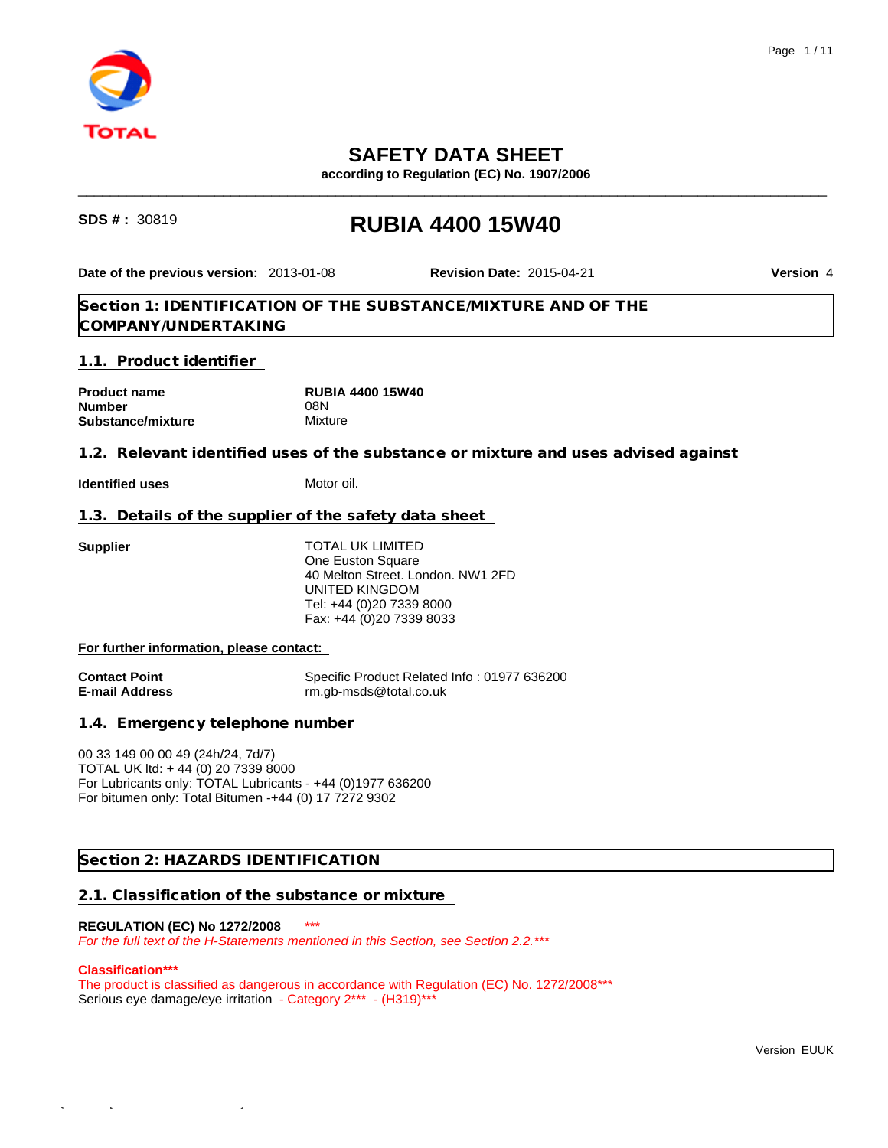

# **SAFETY DATA SHEET**

**according to Regulation (EC) No. 1907/2006**

# **SDS # :** <sup>30819</sup> **RUBIA 4400 15W40**

**Date of the previous version:** 2013-01-08

**Revision Date:** 2015-04-21 **Version** 4

\_\_\_\_\_\_\_\_\_\_\_\_\_\_\_\_\_\_\_\_\_\_\_\_\_\_\_\_\_\_\_\_\_\_\_\_\_\_\_\_\_\_\_\_\_\_\_\_\_\_\_\_\_\_\_\_\_\_\_\_\_\_\_\_\_\_\_\_\_\_\_\_\_\_\_\_\_\_\_\_\_\_\_\_\_\_\_\_\_\_\_\_\_

**Section 1: IDENTIFICATION OF THE SUBSTANCE/MIXTURE AND OF THE COMPANY/UNDERTAKING**

**1.1. Product identifier** 

| <b>Product name</b> | <b>RUBIA 4400 15W40</b> |  |
|---------------------|-------------------------|--|
| <b>Number</b>       | 08N                     |  |
| Substance/mixture   | Mixture                 |  |

**1.2. Relevant identified uses of the substance or mixture and uses advised against** 

**Identified uses** Motor oil.

**1.3. Details of the supplier of the safety data sheet** 

**Supplier** TOTAL UK LIMITED One Euston Square 40 Melton Street. London. NW1 2FD UNITED KINGDOM Tel: +44 (0)20 7339 8000 Fax: +44 (0)20 7339 8033

**For further information, please contact:** 

**Contact Point**<br> **E-mail Address**<br> **E-mail Address**<br> **Contact Point Address**<br> **Contact Property**<br> **Contact Property**<br> **Contact Property**<br> **Contact Property**<br> **Contact Property**<br> **Contact Property**<br> **Contact Property**<br> **Con E-mail Address** rm.gb-msds@total.co.uk

**1.4. Emergency telephone number** 

00 33 149 00 00 49 (24h/24, 7d/7) TOTAL UK ltd: + 44 (0) 20 7339 8000 For Lubricants only: TOTAL Lubricants - +44 (0)1977 636200 For bitumen only: Total Bitumen -+44 (0) 17 7272 9302

**Section 2: HAZARDS IDENTIFICATION**

**2.1. Classification of the substance or mixture** 

# **REGULATION (EC) No 1272/2008** \*\*\*

*For the full text of the H-Statements mentioned in this Section, see Section 2.2.\*\*\**

#### **Classification\*\*\***

The product is classified as dangerous in accordance with Regulation (EC) No. 1272/2008\*\*\* Serious eye damage/eye irritation - Category 2\*\*\* - (H319)\*\*\*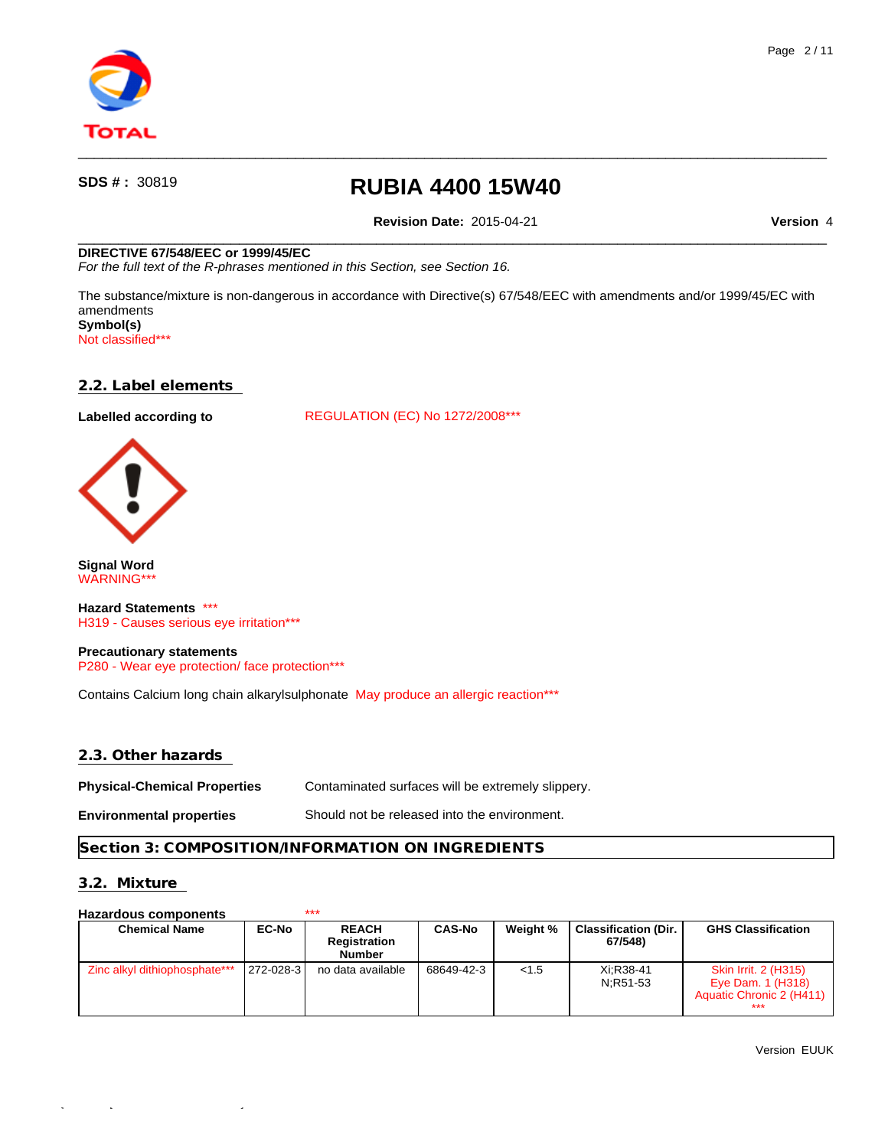

**Revision Date:** 2015-04-21 **Version** 4

 $\qquad \qquad \qquad -$ 

 $\qquad \qquad \qquad -$ 

#### **DIRECTIVE 67/548/EEC or 1999/45/EC**

*For the full text of the R-phrases mentioned in this Section, see Section 16.*

The substance/mixture is non-dangerous in accordance with Directive(s) 67/548/EEC with amendments and/or 1999/45/EC with amendments **Symbol(s)**

Not classified\*\*\*

### **2.2. Label elements**

Labelled according to **REGULATION** (EC) No 1272/2008\*\*\*



**Signal Word** WARNING\*\*\*

**Hazard Statements** \*\*\* H319 - Causes serious eye irritation\*\*\*

**Precautionary statements** P280 - Wear eye protection/ face protection\*\*\*

Contains Calcium long chain alkarylsulphonate May produce an allergic reaction\*\*\*

### **2.3. Other hazards**

**Physical-Chemical Properties** Contaminated surfaces will be extremely slippery.

**Environmental properties** Should not be released into the environment.

#### **Section 3: COMPOSITION/INFORMATION ON INGREDIENTS**

## **3.2. Mixture**

### **Hazardous components** \*\*\*

| <b>Chemical Name</b>          | <b>EC-No</b>  | <b>REACH</b><br>Registration<br><b>Number</b> | <b>CAS-No</b> | Weight % | <b>Classification (Dir.</b><br>67/548) | <b>GHS Classification</b>                                                           |
|-------------------------------|---------------|-----------------------------------------------|---------------|----------|----------------------------------------|-------------------------------------------------------------------------------------|
| Zinc alkyl dithiophosphate*** | $ 272-028-3 $ | no data available                             | 68649-42-3    | < 1.5    | Xi:R38-41<br>N:R51-53                  | <b>Skin Irrit. 2 (H315)</b><br>Eye Dam. 1 (H318)<br>Aquatic Chronic 2 (H411)<br>*** |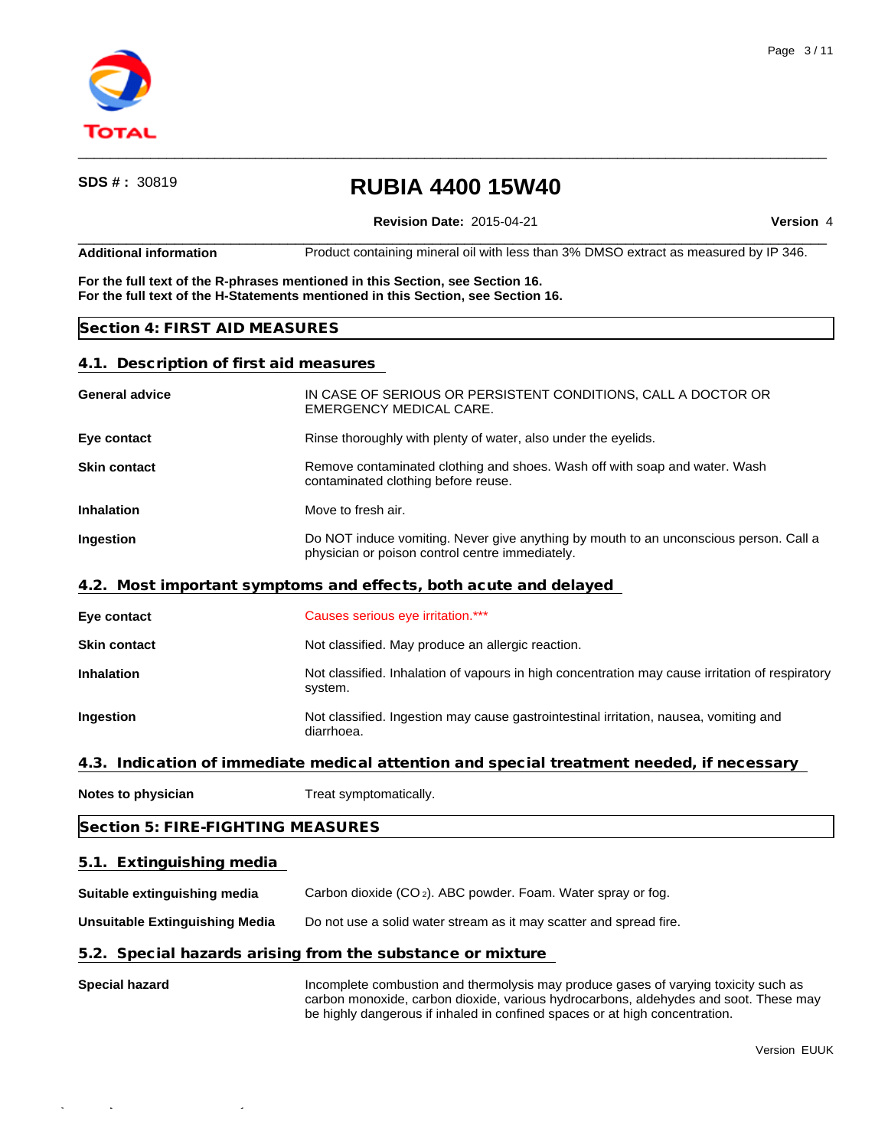

**Revision Date:** 2015-04-21 **Version** 4

 $\qquad \qquad \qquad -$ **Additional information** Product containing mineral oil with less than 3% DMSO extract as measured by IP 346.

 $\qquad \qquad \qquad -$ 

**For the full text of the R-phrases mentioned in this Section, see Section 16. For the full text of the H-Statements mentioned in this Section, see Section 16.**

## **Section 4: FIRST AID MEASURES**

Quick-FDS [17468-43730-02397-011174] - 2015-10-28 - 12:08:50

## **4.1. Description of first aid measures**

| <b>General advice</b>                 | IN CASE OF SERIOUS OR PERSISTENT CONDITIONS, CALL A DOCTOR OR<br><b>EMERGENCY MEDICAL CARE.</b>                                          |  |  |
|---------------------------------------|------------------------------------------------------------------------------------------------------------------------------------------|--|--|
| Eye contact                           | Rinse thoroughly with plenty of water, also under the eyelids.                                                                           |  |  |
| <b>Skin contact</b>                   | Remove contaminated clothing and shoes. Wash off with soap and water. Wash<br>contaminated clothing before reuse.                        |  |  |
| <b>Inhalation</b>                     | Move to fresh air.                                                                                                                       |  |  |
| Ingestion                             | Do NOT induce vomiting. Never give anything by mouth to an unconscious person. Call a<br>physician or poison control centre immediately. |  |  |
|                                       | 4.2. Most important symptoms and effects, both acute and delayed                                                                         |  |  |
| Eye contact                           | Causes serious eye irritation.***                                                                                                        |  |  |
| <b>Skin contact</b>                   | Not classified. May produce an allergic reaction.                                                                                        |  |  |
| <b>Inhalation</b>                     | Not classified. Inhalation of vapours in high concentration may cause irritation of respiratory<br>system.                               |  |  |
| Ingestion                             | Not classified. Ingestion may cause gastrointestinal irritation, nausea, vomiting and<br>diarrhoea.                                      |  |  |
|                                       | 4.3. Indication of immediate medical attention and special treatment needed, if necessary                                                |  |  |
| Notes to physician                    | Treat symptomatically.                                                                                                                   |  |  |
| Section 5: FIRE-FIGHTING MEASURES     |                                                                                                                                          |  |  |
| 5.1. Extinguishing media              |                                                                                                                                          |  |  |
| Suitable extinguishing media          | Carbon dioxide (CO <sub>2</sub> ). ABC powder. Foam. Water spray or fog.                                                                 |  |  |
| <b>Unsuitable Extinguishing Media</b> | Do not use a solid water stream as it may scatter and spread fire.                                                                       |  |  |
|                                       | 5.2. Special hazards arising from the substance or mixture                                                                               |  |  |
|                                       |                                                                                                                                          |  |  |

**Special hazard Incomplete combustion and thermolysis may produce gases of varying toxicity such as** carbon monoxide, carbon dioxide, various hydrocarbons, aldehydes and soot. These may be highly dangerous if inhaled in confined spaces or at high concentration.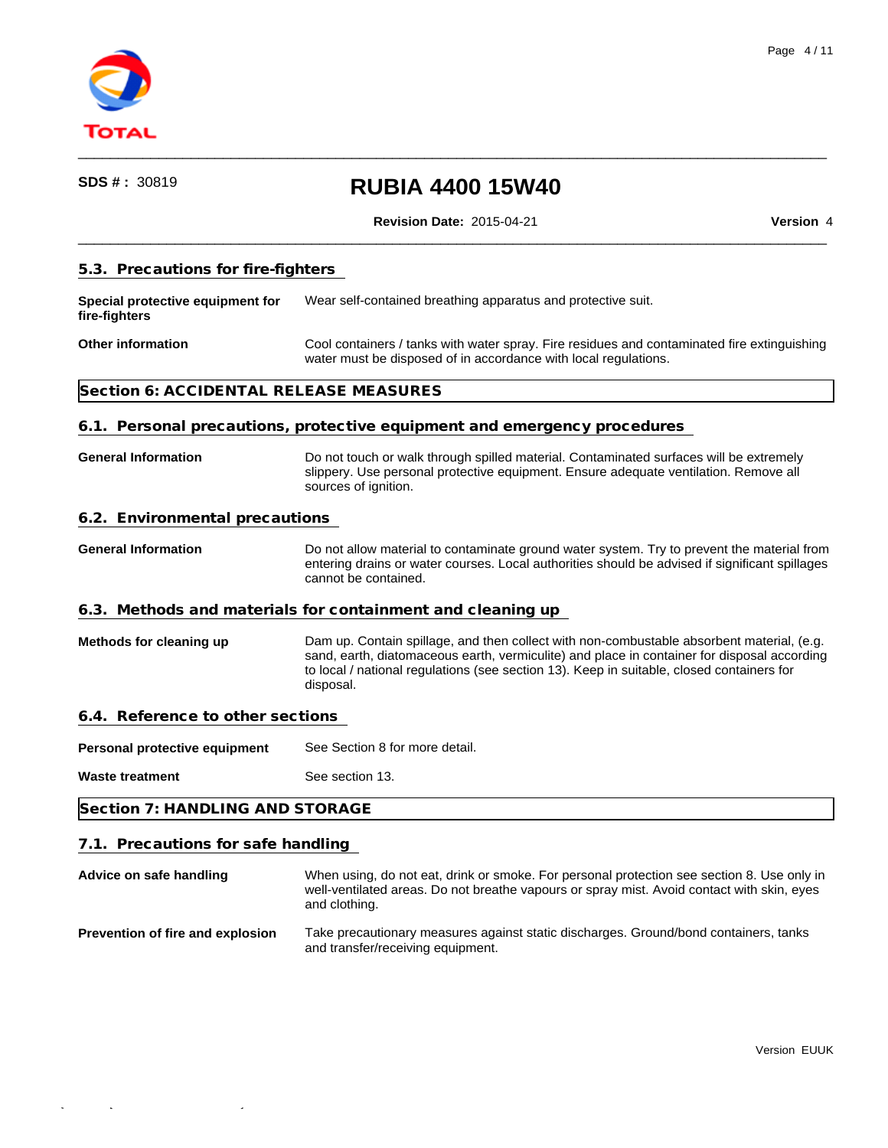

**Revision Date:** 2015-04-21 **Version** 4

 $\qquad \qquad \qquad -$ 

 $\qquad \qquad \qquad -$ 

### **5.3. Precautions for fire-fighters**

**Special protective equipment for fire-fighters** Wear self-contained breathing apparatus and protective suit.

### **Other information Cool containers** / tanks with water spray. Fire residues and contaminated fire extinguishing water must be disposed of in accordance with local regulations.

## **Section 6: ACCIDENTAL RELEASE MEASURES**

#### **6.1. Personal precautions, protective equipment and emergency procedures**

**General Information** Do not touch or walk through spilled material. Contaminated surfaces will be extremely slippery. Use personal protective equipment. Ensure adequate ventilation. Remove all sources of ignition.

# **6.2. Environmental precautions**

**General Information** Do not allow material to contaminate ground water system. Try to prevent the material from entering drains or water courses. Local authorities should be advised if significant spillages cannot be contained.

#### **6.3. Methods and materials for containment and cleaning up**

**Methods for cleaning up** Dam up. Contain spillage, and then collect with non-combustable absorbent material, (e.g. sand, earth, diatomaceous earth, vermiculite) and place in container for disposal according to local / national regulations (see section 13). Keep in suitable, closed containers for disposal.

#### **6.4. Reference to other sections**

Personal protective equipment See Section 8 for more detail.

**Waste treatment** See section 13.

**Section 7: HANDLING AND STORAGE**

## **7.1. Precautions for safe handling**

**Advice on safe handling** When using, do not eat, drink or smoke. For personal protection see section 8. Use only in well-ventilated areas. Do not breathe vapours or spray mist. Avoid contact with skin, eyes and clothing. **Prevention of fire and explosion** Take precautionary measures against static discharges. Ground/bond containers, tanks

and transfer/receiving equipment.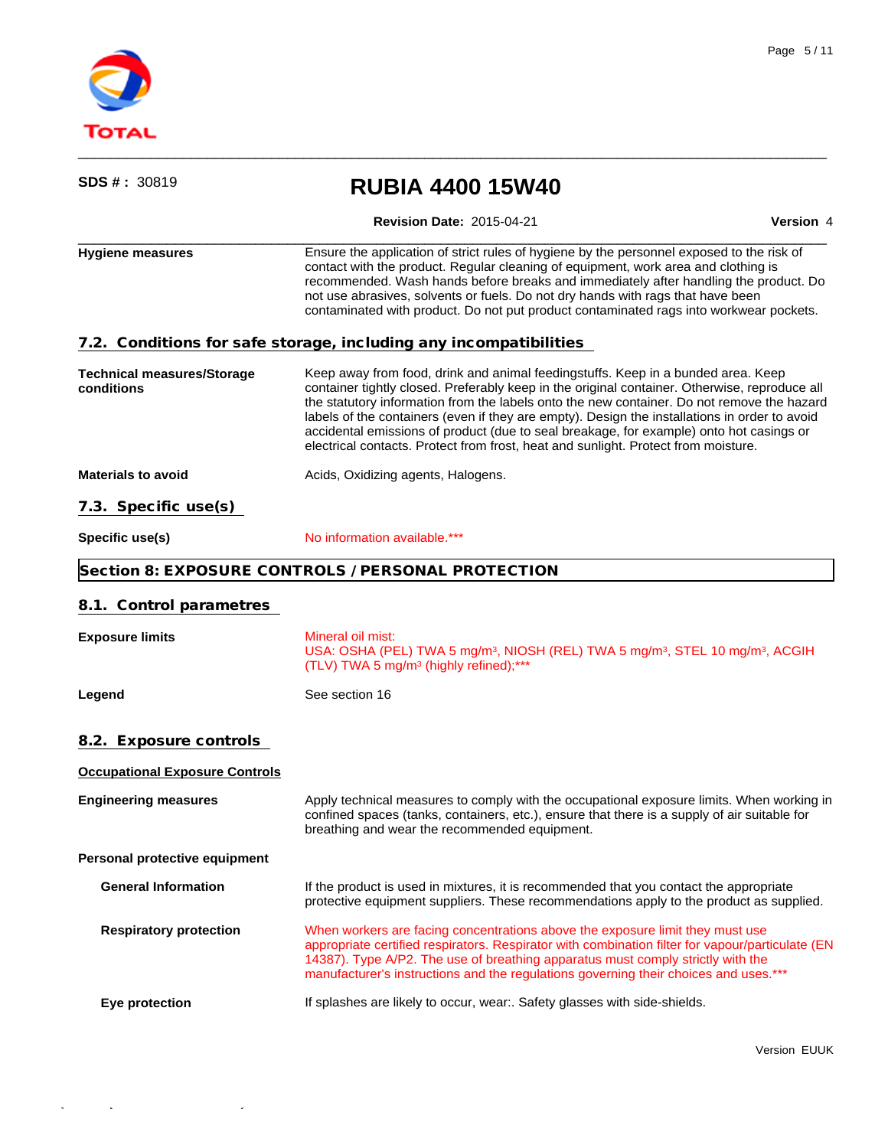

 $\mathcal{O}(\mathcal{C})$  and  $\mathcal{C}(\mathcal{C})$  and  $\mathcal{C}(\mathcal{C})$  -  $\mathcal{C}(\mathcal{C})$  - 12:08:500-28 - 12:08:500-28

| <b>SDS #: 30819</b>                             | <b>RUBIA 4400 15W40</b>                                                                                                                                                                                                                                                                                                                                                                                                                                                                                                                                           |           |
|-------------------------------------------------|-------------------------------------------------------------------------------------------------------------------------------------------------------------------------------------------------------------------------------------------------------------------------------------------------------------------------------------------------------------------------------------------------------------------------------------------------------------------------------------------------------------------------------------------------------------------|-----------|
|                                                 | <b>Revision Date: 2015-04-21</b>                                                                                                                                                                                                                                                                                                                                                                                                                                                                                                                                  | Version 4 |
| <b>Hygiene measures</b>                         | Ensure the application of strict rules of hygiene by the personnel exposed to the risk of<br>contact with the product. Regular cleaning of equipment, work area and clothing is<br>recommended. Wash hands before breaks and immediately after handling the product. Do<br>not use abrasives, solvents or fuels. Do not dry hands with rags that have been<br>contaminated with product. Do not put product contaminated rags into workwear pockets.                                                                                                              |           |
|                                                 | 7.2. Conditions for safe storage, including any incompatibilities                                                                                                                                                                                                                                                                                                                                                                                                                                                                                                 |           |
| <b>Technical measures/Storage</b><br>conditions | Keep away from food, drink and animal feedingstuffs. Keep in a bunded area. Keep<br>container tightly closed. Preferably keep in the original container. Otherwise, reproduce all<br>the statutory information from the labels onto the new container. Do not remove the hazard<br>labels of the containers (even if they are empty). Design the installations in order to avoid<br>accidental emissions of product (due to seal breakage, for example) onto hot casings or<br>electrical contacts. Protect from frost, heat and sunlight. Protect from moisture. |           |
| <b>Materials to avoid</b>                       | Acids, Oxidizing agents, Halogens.                                                                                                                                                                                                                                                                                                                                                                                                                                                                                                                                |           |
| 7.3. Specific use(s)                            |                                                                                                                                                                                                                                                                                                                                                                                                                                                                                                                                                                   |           |
| Specific use(s)                                 | No information available.***                                                                                                                                                                                                                                                                                                                                                                                                                                                                                                                                      |           |
|                                                 | Section 8: EXPOSURE CONTROLS / PERSONAL PROTECTION                                                                                                                                                                                                                                                                                                                                                                                                                                                                                                                |           |
| 8.1. Control parametres                         |                                                                                                                                                                                                                                                                                                                                                                                                                                                                                                                                                                   |           |
| <b>Exposure limits</b>                          | Mineral oil mist:<br>USA: OSHA (PEL) TWA 5 mg/m <sup>3</sup> , NIOSH (REL) TWA 5 mg/m <sup>3</sup> , STEL 10 mg/m <sup>3</sup> , ACGIH<br>(TLV) TWA 5 mg/m <sup>3</sup> (highly refined);***                                                                                                                                                                                                                                                                                                                                                                      |           |
| Legend                                          | See section 16                                                                                                                                                                                                                                                                                                                                                                                                                                                                                                                                                    |           |
| 8.2. Exposure controls                          |                                                                                                                                                                                                                                                                                                                                                                                                                                                                                                                                                                   |           |
| <b>Occupational Exposure Controls</b>           |                                                                                                                                                                                                                                                                                                                                                                                                                                                                                                                                                                   |           |
| <b>Engineering measures</b>                     | Apply technical measures to comply with the occupational exposure limits. When working in<br>confined spaces (tanks, containers, etc.), ensure that there is a supply of air suitable for<br>breathing and wear the recommended equipment.                                                                                                                                                                                                                                                                                                                        |           |
| Personal protective equipment                   |                                                                                                                                                                                                                                                                                                                                                                                                                                                                                                                                                                   |           |
| <b>General Information</b>                      | If the product is used in mixtures, it is recommended that you contact the appropriate<br>protective equipment suppliers. These recommendations apply to the product as supplied.                                                                                                                                                                                                                                                                                                                                                                                 |           |
| <b>Respiratory protection</b>                   | When workers are facing concentrations above the exposure limit they must use<br>appropriate certified respirators. Respirator with combination filter for vapour/particulate (EN<br>14387). Type A/P2. The use of breathing apparatus must comply strictly with the<br>manufacturer's instructions and the regulations governing their choices and uses.***                                                                                                                                                                                                      |           |
| Eye protection                                  | If splashes are likely to occur, wear:. Safety glasses with side-shields.                                                                                                                                                                                                                                                                                                                                                                                                                                                                                         |           |
|                                                 |                                                                                                                                                                                                                                                                                                                                                                                                                                                                                                                                                                   |           |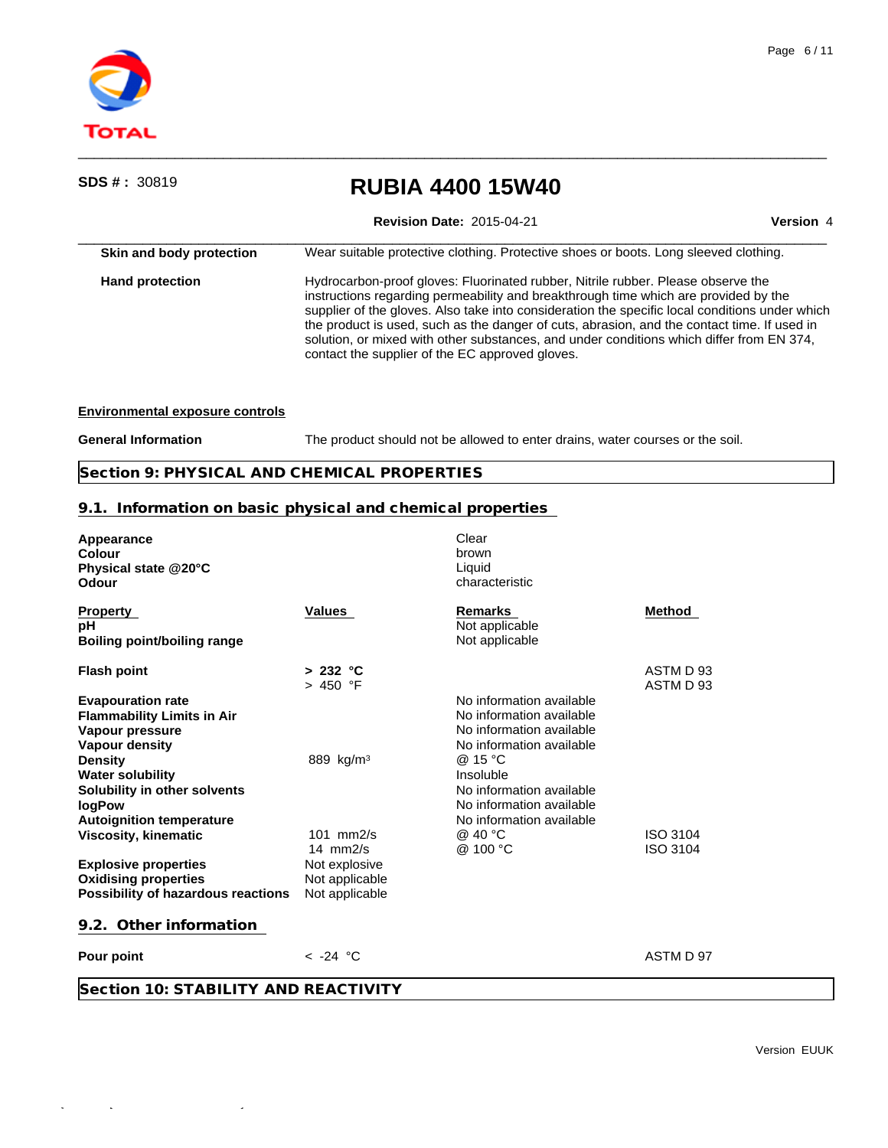

| <b>SDS # : 30819</b>                   | <b>RUBIA 4400 15W40</b>                                                                                                                                                                                                                                                                                                                                                                                                                                                                                                 |           |  |
|----------------------------------------|-------------------------------------------------------------------------------------------------------------------------------------------------------------------------------------------------------------------------------------------------------------------------------------------------------------------------------------------------------------------------------------------------------------------------------------------------------------------------------------------------------------------------|-----------|--|
|                                        | <b>Revision Date: 2015-04-21</b>                                                                                                                                                                                                                                                                                                                                                                                                                                                                                        | Version 4 |  |
| Skin and body protection               | Wear suitable protective clothing. Protective shoes or boots. Long sleeved clothing.                                                                                                                                                                                                                                                                                                                                                                                                                                    |           |  |
| <b>Hand protection</b>                 | Hydrocarbon-proof gloves: Fluorinated rubber, Nitrile rubber. Please observe the<br>instructions regarding permeability and breakthrough time which are provided by the<br>supplier of the gloves. Also take into consideration the specific local conditions under which<br>the product is used, such as the danger of cuts, abrasion, and the contact time. If used in<br>solution, or mixed with other substances, and under conditions which differ from EN 374,<br>contact the supplier of the EC approved gloves. |           |  |
| <b>Environmental exposure controls</b> |                                                                                                                                                                                                                                                                                                                                                                                                                                                                                                                         |           |  |

General Information The product should not be allowed to enter drains, water courses or the soil.

**Section 9: PHYSICAL AND CHEMICAL PROPERTIES**

# **9.1. Information on basic physical and chemical properties**

| Appearance<br>Colour<br>Physical state @20°C<br>Odour                                                                                                                                                                        |                                                                                   | Clear<br>brown<br>Liquid<br>characteristic                                                                                                                                                                               |                             |
|------------------------------------------------------------------------------------------------------------------------------------------------------------------------------------------------------------------------------|-----------------------------------------------------------------------------------|--------------------------------------------------------------------------------------------------------------------------------------------------------------------------------------------------------------------------|-----------------------------|
| <b>Property</b><br>рH<br><b>Boiling point/boiling range</b>                                                                                                                                                                  | <b>Values</b>                                                                     | <b>Remarks</b><br>Not applicable<br>Not applicable                                                                                                                                                                       | Method                      |
| <b>Flash point</b>                                                                                                                                                                                                           | > 232 °C<br>> 450 °F                                                              |                                                                                                                                                                                                                          | ASTM D 93<br>ASTM D 93      |
| <b>Evapouration rate</b><br><b>Flammability Limits in Air</b><br>Vapour pressure<br>Vapour density<br><b>Density</b><br><b>Water solubility</b><br>Solubility in other solvents<br>logPow<br><b>Autoignition temperature</b> | 889 kg/m <sup>3</sup>                                                             | No information available<br>No information available<br>No information available<br>No information available<br>@ 15 °C<br>Insoluble<br>No information available<br>No information available<br>No information available |                             |
| <b>Viscosity, kinematic</b><br><b>Explosive properties</b><br><b>Oxidising properties</b><br>Possibility of hazardous reactions                                                                                              | $101$ mm $2/s$<br>14 $mm2/s$<br>Not explosive<br>Not applicable<br>Not applicable | @ 40 °C<br>@ 100 °C                                                                                                                                                                                                      | ISO 3104<br><b>ISO 3104</b> |
| 9.2. Other information                                                                                                                                                                                                       |                                                                                   |                                                                                                                                                                                                                          |                             |
| Pour point                                                                                                                                                                                                                   | $<$ -24 °C                                                                        |                                                                                                                                                                                                                          | ASTM D 97                   |
| Section 10: STABILITY AND REACTIVITY                                                                                                                                                                                         |                                                                                   |                                                                                                                                                                                                                          |                             |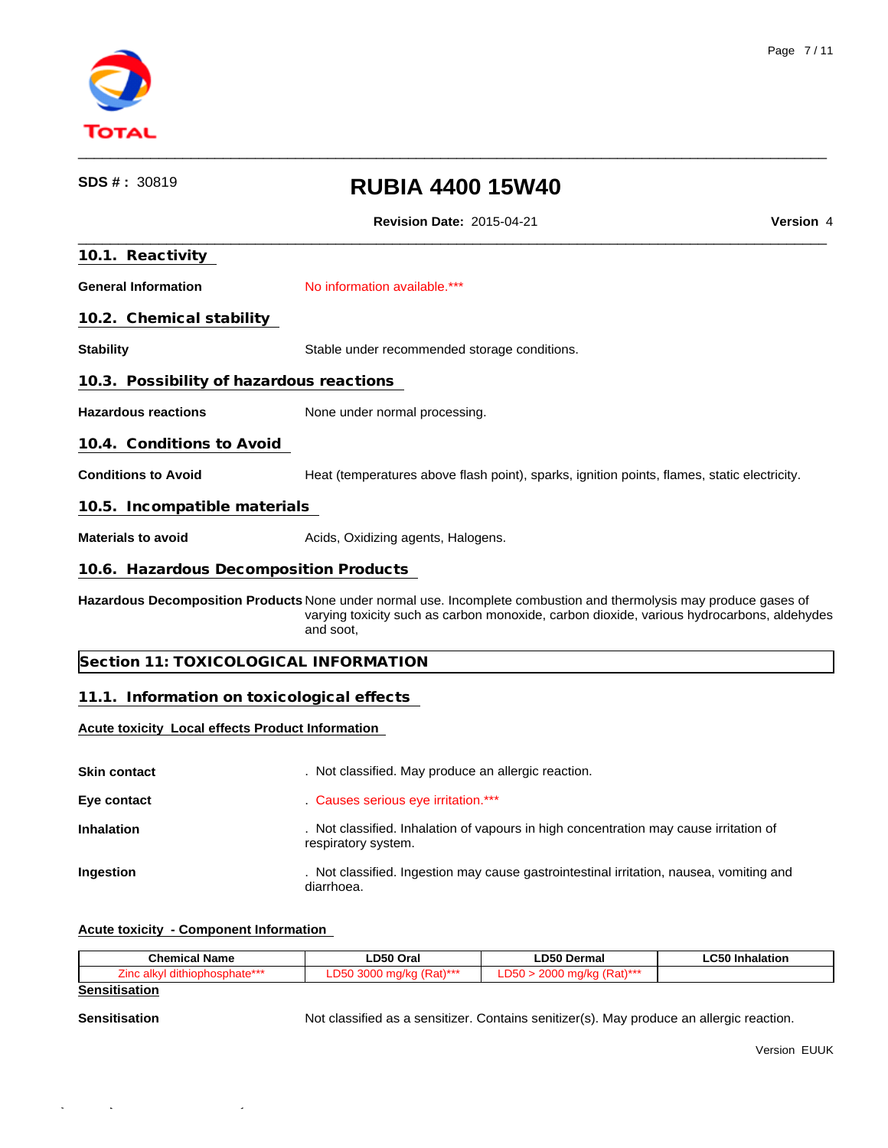

| SDS#: 30819                                             | <b>RUBIA 4400 15W40</b>                                                                                                                                                                                                      |                  |
|---------------------------------------------------------|------------------------------------------------------------------------------------------------------------------------------------------------------------------------------------------------------------------------------|------------------|
|                                                         | <b>Revision Date: 2015-04-21</b>                                                                                                                                                                                             | <b>Version 4</b> |
| 10.1. Reactivity                                        |                                                                                                                                                                                                                              |                  |
| <b>General Information</b>                              | No information available.***                                                                                                                                                                                                 |                  |
| 10.2. Chemical stability                                |                                                                                                                                                                                                                              |                  |
| <b>Stability</b>                                        | Stable under recommended storage conditions.                                                                                                                                                                                 |                  |
| 10.3. Possibility of hazardous reactions                |                                                                                                                                                                                                                              |                  |
| <b>Hazardous reactions</b>                              | None under normal processing.                                                                                                                                                                                                |                  |
| 10.4. Conditions to Avoid                               |                                                                                                                                                                                                                              |                  |
| <b>Conditions to Avoid</b>                              | Heat (temperatures above flash point), sparks, ignition points, flames, static electricity.                                                                                                                                  |                  |
| 10.5. Incompatible materials                            |                                                                                                                                                                                                                              |                  |
| <b>Materials to avoid</b>                               | Acids, Oxidizing agents, Halogens.                                                                                                                                                                                           |                  |
| 10.6. Hazardous Decomposition Products                  |                                                                                                                                                                                                                              |                  |
|                                                         | Hazardous Decomposition Products None under normal use. Incomplete combustion and thermolysis may produce gases of<br>varying toxicity such as carbon monoxide, carbon dioxide, various hydrocarbons, aldehydes<br>and soot, |                  |
|                                                         | Section 11: TOXICOLOGICAL INFORMATION                                                                                                                                                                                        |                  |
| 11.1. Information on toxicological effects              |                                                                                                                                                                                                                              |                  |
| <b>Acute toxicity Local effects Product Information</b> |                                                                                                                                                                                                                              |                  |
| <b>Skin contact</b>                                     | . Not classified. May produce an allergic reaction.                                                                                                                                                                          |                  |
| Eye contact                                             | Causes serious eye irritation.***                                                                                                                                                                                            |                  |
| Inhalation                                              | . Not classified. Inhalation of vapours in high concentration may cause irritation of<br>respiratory system.                                                                                                                 |                  |
| Ingestion                                               | . Not classified. Ingestion may cause gastrointestinal irritation, nausea, vomiting and<br>diarrhoea.                                                                                                                        |                  |
|                                                         |                                                                                                                                                                                                                              |                  |

# **Acute toxicity - Component Information**

| <b>Chemical Name</b>               | חהח<br>Ora                       | ∟D50 Dermal             | $\sim$ $\sim$<br>halatiar<br>mnaiauor |
|------------------------------------|----------------------------------|-------------------------|---------------------------------------|
| $-4-***$<br>∠inc<br>sunate<br>,,,, | $11 + +$<br>$\sim$ $\sim$ $\sim$ | $11 + +$<br>$\sim$<br>. |                                       |
|                                    |                                  |                         |                                       |

# **Sensitisation**

Sensitisation **Sensitisation** Not classified as a sensitizer. Contains senitizer(s). May produce an allergic reaction.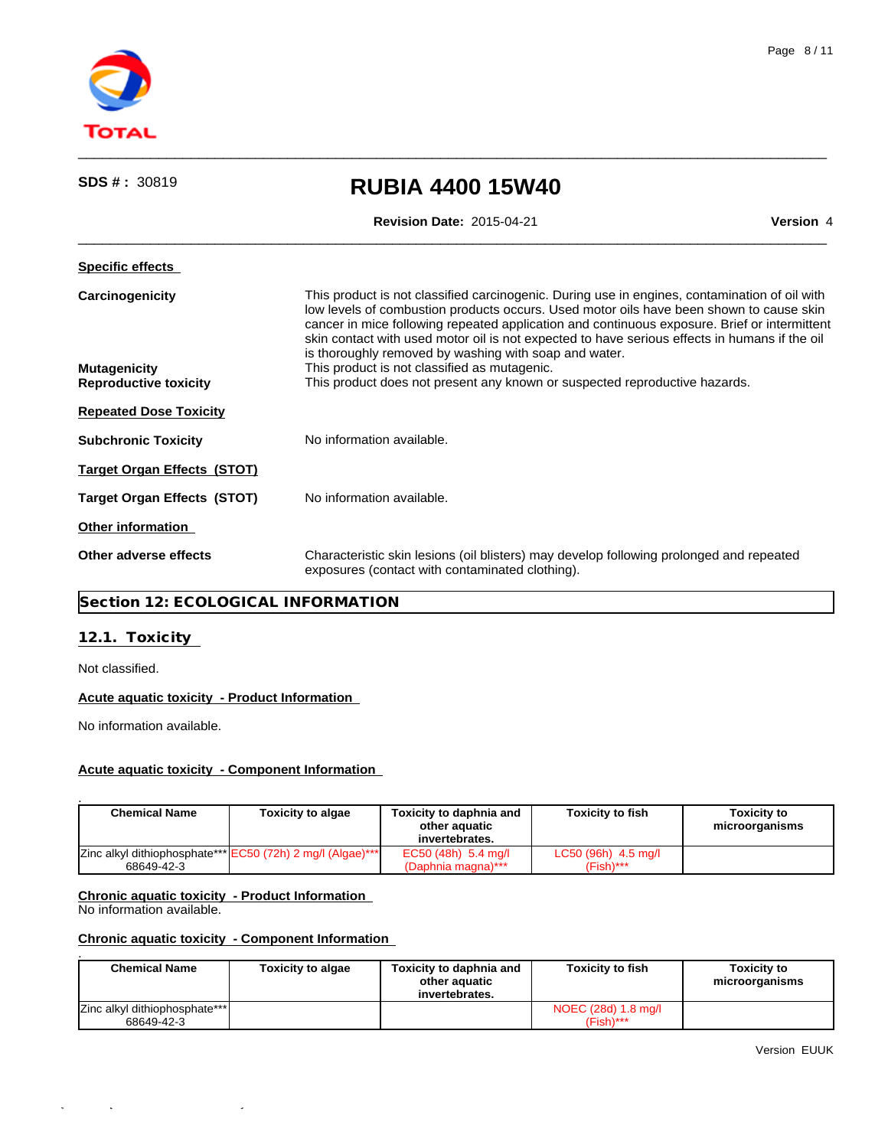

| SDS # : 30819                                                          | <b>RUBIA 4400 15W40</b>                                                                                                                                                                                                                                                                                                                                                                                                                                                                                                                                                          |           |  |  |
|------------------------------------------------------------------------|----------------------------------------------------------------------------------------------------------------------------------------------------------------------------------------------------------------------------------------------------------------------------------------------------------------------------------------------------------------------------------------------------------------------------------------------------------------------------------------------------------------------------------------------------------------------------------|-----------|--|--|
|                                                                        | <b>Revision Date: 2015-04-21</b>                                                                                                                                                                                                                                                                                                                                                                                                                                                                                                                                                 | Version 4 |  |  |
| <b>Specific effects</b>                                                |                                                                                                                                                                                                                                                                                                                                                                                                                                                                                                                                                                                  |           |  |  |
| Carcinogenicity<br><b>Mutagenicity</b><br><b>Reproductive toxicity</b> | This product is not classified carcinogenic. During use in engines, contamination of oil with<br>low levels of combustion products occurs. Used motor oils have been shown to cause skin<br>cancer in mice following repeated application and continuous exposure. Brief or intermittent<br>skin contact with used motor oil is not expected to have serious effects in humans if the oil<br>is thoroughly removed by washing with soap and water.<br>This product is not classified as mutagenic.<br>This product does not present any known or suspected reproductive hazards. |           |  |  |
| <b>Repeated Dose Toxicity</b>                                          |                                                                                                                                                                                                                                                                                                                                                                                                                                                                                                                                                                                  |           |  |  |
| <b>Subchronic Toxicity</b>                                             | No information available.                                                                                                                                                                                                                                                                                                                                                                                                                                                                                                                                                        |           |  |  |
|                                                                        |                                                                                                                                                                                                                                                                                                                                                                                                                                                                                                                                                                                  |           |  |  |
| <b>Target Organ Effects (STOT)</b>                                     |                                                                                                                                                                                                                                                                                                                                                                                                                                                                                                                                                                                  |           |  |  |
| <b>Target Organ Effects (STOT)</b>                                     | No information available.                                                                                                                                                                                                                                                                                                                                                                                                                                                                                                                                                        |           |  |  |
| Other information                                                      |                                                                                                                                                                                                                                                                                                                                                                                                                                                                                                                                                                                  |           |  |  |
| Other adverse effects                                                  | Characteristic skin lesions (oil blisters) may develop following prolonged and repeated<br>exposures (contact with contaminated clothing).                                                                                                                                                                                                                                                                                                                                                                                                                                       |           |  |  |
|                                                                        |                                                                                                                                                                                                                                                                                                                                                                                                                                                                                                                                                                                  |           |  |  |

# **Section 12: ECOLOGICAL INFORMATION**

# **12.1. Toxicity**

Not classified.

## **Acute aquatic toxicity - Product Information**

No information available.

## **Acute aquatic toxicity - Component Information**

| <b>Chemical Name</b> | <b>Toxicity to algae</b>                                   | Toxicity to daphnia and<br>other aguatic<br>invertebrates. | <b>Toxicity to fish</b>              | <b>Toxicity to</b><br>microorganisms |
|----------------------|------------------------------------------------------------|------------------------------------------------------------|--------------------------------------|--------------------------------------|
| 68649-42-3           | Zinc alkyl dithiophosphate*** EC50 (72h) 2 mg/l (Algae)*** | EC50 (48h) 5.4 mg/l<br>(Daphnia magna)***                  | $LC50(96h)$ 4.5 mg/l<br>$(Fish)$ *** |                                      |

# **Chronic aquatic toxicity - Product Information**

No information available.

## **Chronic aquatic toxicity - Component Information**

| <b>Chemical Name</b>                         | <b>Toxicity to algae</b> | Toxicity to daphnia and<br>other aguatic<br>invertebrates. | <b>Toxicity to fish</b>             | <b>Toxicity to</b><br>microorganisms |
|----------------------------------------------|--------------------------|------------------------------------------------------------|-------------------------------------|--------------------------------------|
| Zinc alkyl dithiophosphate*** <br>68649-42-3 |                          |                                                            | NOEC (28d) 1.8 mg/l<br>$(Fish)$ *** |                                      |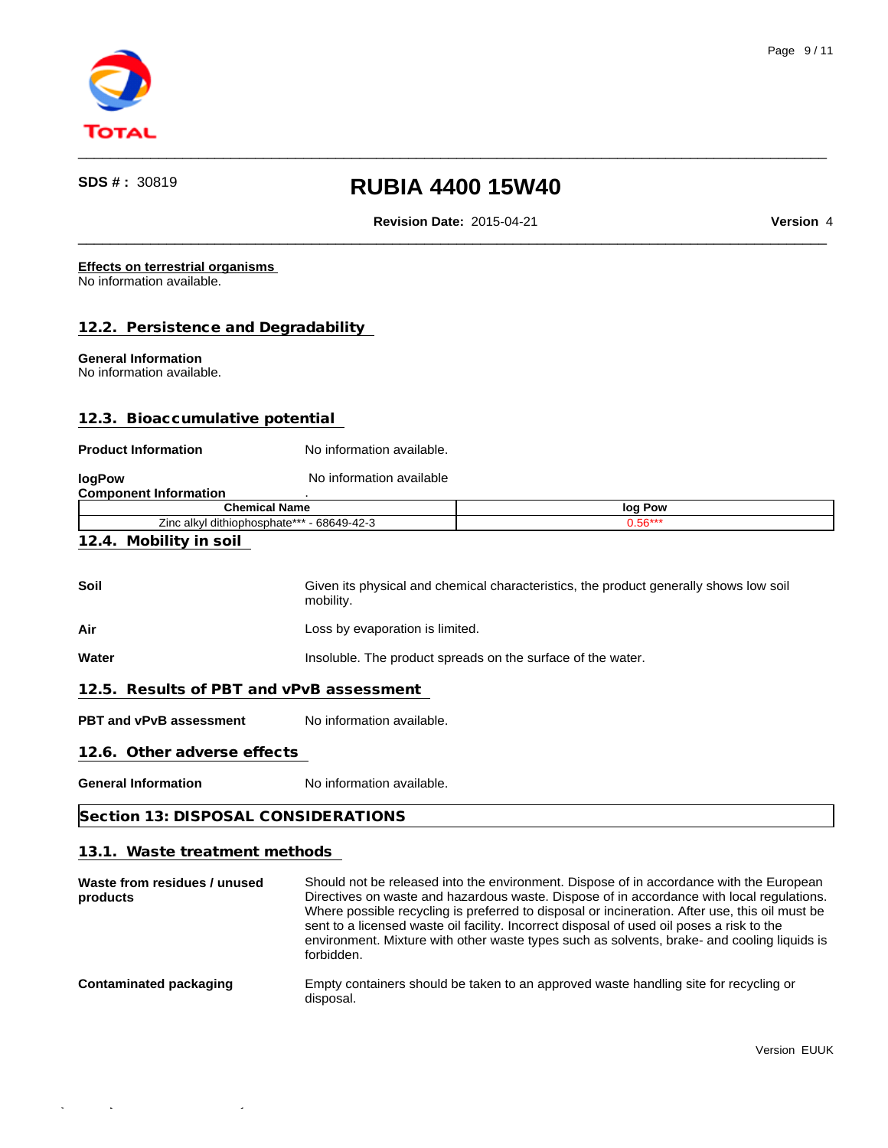

**Revision Date:** 2015-04-21 **Version** 4

 $\qquad \qquad \qquad -$ 

 $\qquad \qquad \qquad -$ 

#### **Effects on terrestrial organisms**  No information available.

**12.2. Persistence and Degradability** 

# **General Information**

No information available.

# **12.3. Bioaccumulative potential**

#### **Product Information** No information available.

| logPow                       | No information available                   |                                                                                       |
|------------------------------|--------------------------------------------|---------------------------------------------------------------------------------------|
| <b>Component Information</b> |                                            |                                                                                       |
|                              | <b>Chemical Name</b>                       | log Pow                                                                               |
|                              | Zinc alkyl dithiophosphate*** - 68649-42-3 | $0.56***$                                                                             |
| 12.4. Mobility in soil       |                                            |                                                                                       |
| Soil                         | mobility.                                  | Given its physical and chemical characteristics, the product generally shows low soil |
| <b>A</b> :                   | ang busangpating in limitad                |                                                                                       |

**Air Air Air Air Loss by evaporation is limited.** 

**Water Insoluble.** The product spreads on the surface of the water.

## **12.5. Results of PBT and vPvB assessment**

**PBT and vPvB assessment** No information available.

## **12.6. Other adverse effects**

**General Information** No information available.

# **Section 13: DISPOSAL CONSIDERATIONS**

# **13.1. Waste treatment methods**

| Waste from residues / unused<br>products | Should not be released into the environment. Dispose of in accordance with the European<br>Directives on waste and hazardous waste. Dispose of in accordance with local regulations.<br>Where possible recycling is preferred to disposal or incineration. After use, this oil must be<br>sent to a licensed waste oil facility. Incorrect disposal of used oil poses a risk to the<br>environment. Mixture with other waste types such as solvents, brake- and cooling liquids is<br>forbidden. |
|------------------------------------------|--------------------------------------------------------------------------------------------------------------------------------------------------------------------------------------------------------------------------------------------------------------------------------------------------------------------------------------------------------------------------------------------------------------------------------------------------------------------------------------------------|
| <b>Contaminated packaging</b>            | Empty containers should be taken to an approved waste handling site for recycling or<br>disposal.                                                                                                                                                                                                                                                                                                                                                                                                |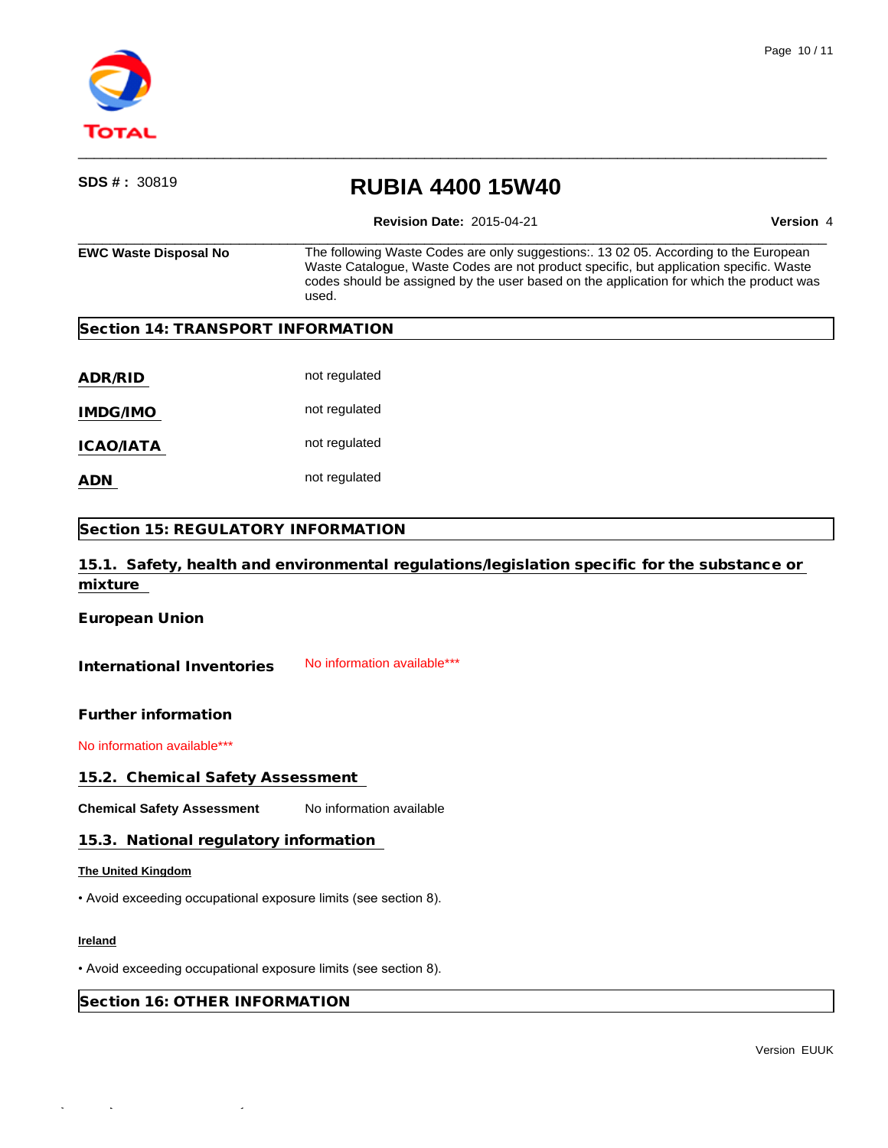

# $\qquad \qquad \qquad -$ **SDS # :** <sup>30819</sup> **RUBIA 4400 15W40 Revision Date:** 2015-04-21 **Version** 4 **EWC Waste Disposal No** The following Waste Codes are only suggestions:. 13 02 05. According to the European Waste Catalogue, Waste Codes are not product specific, but application specific. Waste codes should be assigned by the user based on the application for which the product was used. **Section 14: TRANSPORT INFORMATION ADR/RID** not regulated IMDG/IMO **not regulated ICAO/IATA** not regulated **ADN** not regulated **Section 15: REGULATORY INFORMATION 15.1. Safety, health and environmental regulations/legislation specific for the substance or mixture European Union** International Inventories No information available\*\*\* **Further information** No information available\*\*\* **15.2. Chemical Safety Assessment Chemical Safety Assessment** No information available **15.3. National regulatory information The United Kingdom** • Avoid exceeding occupational exposure limits (see section 8). **Ireland** • Avoid exceeding occupational exposure limits (see section 8).

 $\qquad \qquad \qquad -$ 

**Section 16: OTHER INFORMATION**

Quick-FDS [17468-43730-02397-011174] - 2015-10-28 - 12:08:50